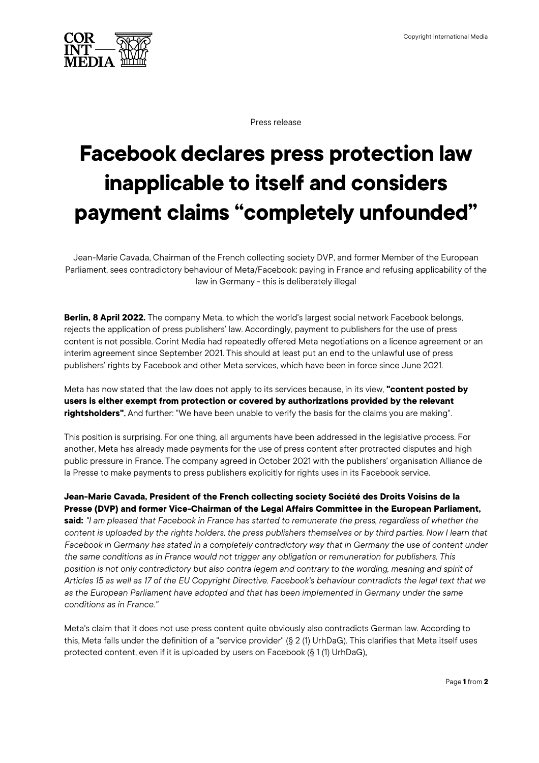

Press release

## **Facebook declares press protection law inapplicable to itself and considers payment claims "completely unfounded"**

Jean-Marie Cavada, Chairman of the French collecting society DVP, and former Member of the European Parliament, sees contradictory behaviour of Meta/Facebook: paying in France and refusing applicability of the law in Germany - this is deliberately illegal

**Berlin, 8 April 2022.** The company Meta, to which the world's largest social network Facebook belongs, rejects the application of press publishers' law. Accordingly, payment to publishers for the use of press content is not possible. Corint Media had repeatedly offered Meta negotiations on a licence agreement or an interim agreement since September 2021. This should at least put an end to the unlawful use of press publishers' rights by Facebook and other Meta services, which have been in force since June 2021.

Meta has now stated that the law does not apply to its services because, in its view, **"content posted by users is either exempt from protection or covered by authorizations provided by the relevant rightsholders"**. And further: "We have been unable to verify the basis for the claims you are making".

This position is surprising. For one thing, all arguments have been addressed in the legislative process. For another, Meta has already made payments for the use of press content after protracted disputes and high public pressure in France. The company agreed in October 2021 with the publishers' organisation Alliance de la Presse to make payments to press publishers explicitly for rights uses in its Facebook service.

**Jean-Marie Cavada, President of the French collecting society Société des Droits Voisins de la Presse (DVP) and former Vice-Chairman of the Legal Affairs Committee in the European Parliament, said:** *"I am pleased that Facebook in France has started to remunerate the press, regardless of whether the content is uploaded by the rights holders, the press publishers themselves or by third parties. Now I learn that Facebook in Germany has stated in a completely contradictory way that in Germany the use of content under the same conditions as in France would not trigger any obligation or remuneration for publishers. This position is not only contradictory but also contra legem and contrary to the wording, meaning and spirit of Articles 15 as well as 17 of the EU Copyright Directive. Facebook's behaviour contradicts the legal text that we as the European Parliament have adopted and that has been implemented in Germany under the same conditions as in France."*

Meta's claim that it does not use press content quite obviously also contradicts German law. According to this, Meta falls under the definition of a "service provider" (§ 2 (1) UrhDaG). This clarifies that Meta itself uses protected content, even if it is uploaded by users on Facebook (§ 1 (1) UrhDaG).